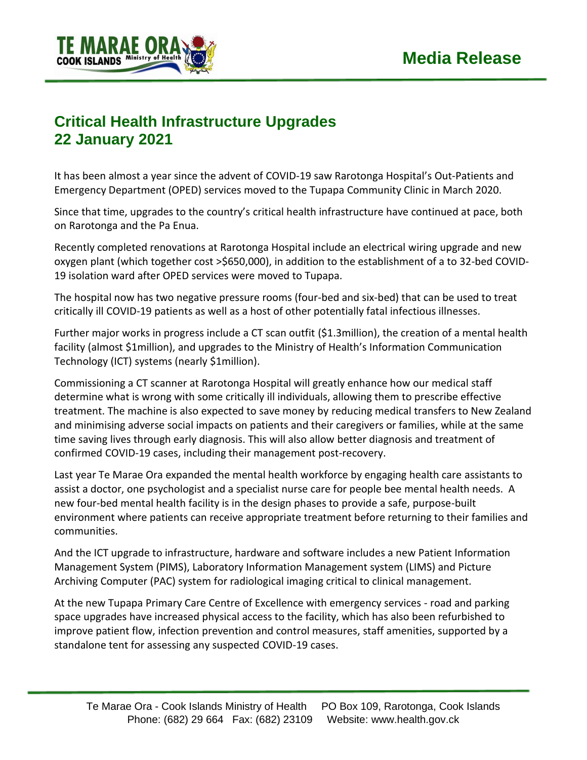

## **Critical Health Infrastructure Upgrades 22 January 2021**

It has been almost a year since the advent of COVID-19 saw Rarotonga Hospital's Out-Patients and Emergency Department (OPED) services moved to the Tupapa Community Clinic in March 2020.

Since that time, upgrades to the country's critical health infrastructure have continued at pace, both on Rarotonga and the Pa Enua.

Recently completed renovations at Rarotonga Hospital include an electrical wiring upgrade and new oxygen plant (which together cost >\$650,000), in addition to the establishment of a to 32-bed COVID-19 isolation ward after OPED services were moved to Tupapa.

The hospital now has two negative pressure rooms (four-bed and six-bed) that can be used to treat critically ill COVID-19 patients as well as a host of other potentially fatal infectious illnesses.

Further major works in progress include a CT scan outfit (\$1.3million), the creation of a mental health facility (almost \$1million), and upgrades to the Ministry of Health's Information Communication Technology (ICT) systems (nearly \$1million).

Commissioning a CT scanner at Rarotonga Hospital will greatly enhance how our medical staff determine what is wrong with some critically ill individuals, allowing them to prescribe effective treatment. The machine is also expected to save money by reducing medical transfers to New Zealand and minimising adverse social impacts on patients and their caregivers or families, while at the same time saving lives through early diagnosis. This will also allow better diagnosis and treatment of confirmed COVID-19 cases, including their management post-recovery.

Last year Te Marae Ora expanded the mental health workforce by engaging health care assistants to assist a doctor, one psychologist and a specialist nurse care for people bee mental health needs. A new four-bed mental health facility is in the design phases to provide a safe, purpose-built environment where patients can receive appropriate treatment before returning to their families and communities.

And the ICT upgrade to infrastructure, hardware and software includes a new Patient Information Management System (PIMS), Laboratory Information Management system (LIMS) and Picture Archiving Computer (PAC) system for radiological imaging critical to clinical management.

At the new Tupapa Primary Care Centre of Excellence with emergency services - road and parking space upgrades have increased physical access to the facility, which has also been refurbished to improve patient flow, infection prevention and control measures, staff amenities, supported by a standalone tent for assessing any suspected COVID-19 cases.